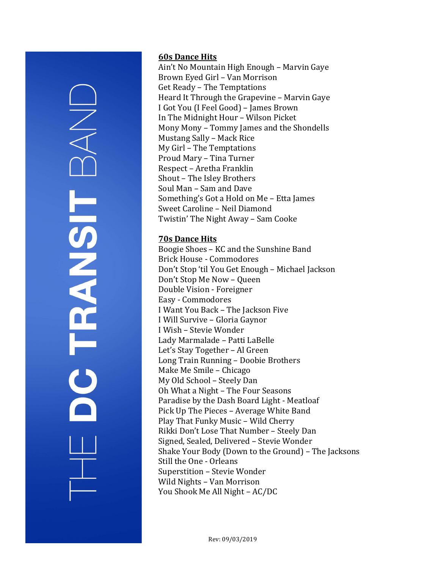# **TRANSIT**

### 60s Dance Hits

Ain't No Mountain High Enough – Marvin Gaye Brown Eyed Girl – Van Morrison Get Ready – The Temptations Heard It Through the Grapevine – Marvin Gaye I Got You (I Feel Good) – James Brown In The Midnight Hour – Wilson Picket Mony Mony – Tommy James and the Shondells Mustang Sally – Mack Rice My Girl – The Temptations Proud Mary – Tina Turner Respect – Aretha Franklin Shout – The Isley Brothers Soul Man – Sam and Dave Something's Got a Hold on Me – Etta James Sweet Caroline – Neil Diamond Twistin' The Night Away – Sam Cooke

### 70s Dance Hits

Boogie Shoes – KC and the Sunshine Band Brick House - Commodores Don't Stop 'til You Get Enough – Michael Jackson Don't Stop Me Now – Queen Double Vision - Foreigner Easy - Commodores I Want You Back – The Jackson Five I Will Survive – Gloria Gaynor I Wish – Stevie Wonder Lady Marmalade – Patti LaBelle Let's Stay Together – Al Green Long Train Running – Doobie Brothers Make Me Smile – Chicago My Old School – Steely Dan Oh What a Night – The Four Seasons Paradise by the Dash Board Light - Meatloaf Pick Up The Pieces – Average White Band Play That Funky Music – Wild Cherry Rikki Don't Lose That Number – Steely Dan Signed, Sealed, Delivered – Stevie Wonder Shake Your Body (Down to the Ground) – The Jacksons Still the One - Orleans Superstition – Stevie Wonder Wild Nights – Van Morrison You Shook Me All Night – AC/DC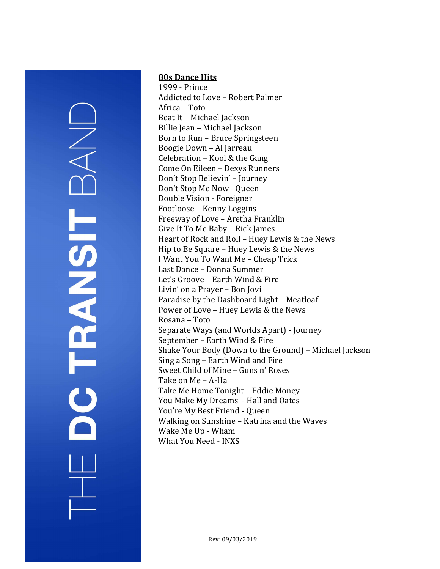# DC TRANSIT

### 80s Dance Hits

1999 - Prince Addicted to Love – Robert Palmer Africa – Toto Beat It – Michael Jackson Billie Jean – Michael Jackson Born to Run – Bruce Springsteen Boogie Down – Al Jarreau Celebration – Kool & the Gang Come On Eileen – Dexys Runners Don't Stop Believin' – Journey Don't Stop Me Now - Queen Double Vision - Foreigner Footloose – Kenny Loggins Freeway of Love – Aretha Franklin Give It To Me Baby – Rick James Heart of Rock and Roll – Huey Lewis & the News Hip to Be Square – Huey Lewis & the News I Want You To Want Me – Cheap Trick Last Dance – Donna Summer Let's Groove – Earth Wind & Fire Livin' on a Prayer – Bon Jovi Paradise by the Dashboard Light – Meatloaf Power of Love – Huey Lewis & the News Rosana – Toto Separate Ways (and Worlds Apart) - Journey September – Earth Wind & Fire Shake Your Body (Down to the Ground) – Michael Jackson Sing a Song – Earth Wind and Fire Sweet Child of Mine – Guns n' Roses Take on Me – A-Ha Take Me Home Tonight – Eddie Money You Make My Dreams - Hall and Oates You're My Best Friend - Queen Walking on Sunshine – Katrina and the Waves Wake Me Up - Wham What You Need - INXS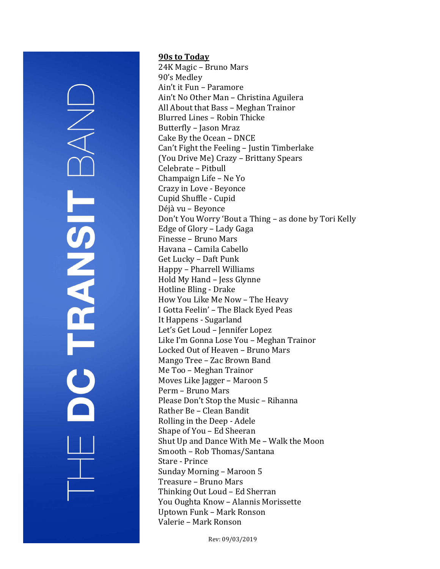# DO TRANSIT

### 90s to Today

24K Magic – Bruno Mars 90's Medley Ain't it Fun – Paramore Ain't No Other Man – Christina Aguilera All About that Bass – Meghan Trainor Blurred Lines – Robin Thicke Butterfly – Jason Mraz Cake By the Ocean – DNCE Can't Fight the Feeling – Justin Timberlake (You Drive Me) Crazy – Brittany Spears Celebrate – Pitbull Champaign Life – Ne Yo Crazy in Love - Beyonce Cupid Shuffle - Cupid Déjà vu – Beyonce Don't You Worry 'Bout a Thing – as done by Tori Kelly Edge of Glory – Lady Gaga Finesse – Bruno Mars Havana – Camila Cabello Get Lucky – Daft Punk Happy – Pharrell Williams Hold My Hand – Jess Glynne Hotline Bling - Drake How You Like Me Now – The Heavy I Gotta Feelin' – The Black Eyed Peas It Happens - Sugarland Let's Get Loud – Jennifer Lopez Like I'm Gonna Lose You – Meghan Trainor Locked Out of Heaven – Bruno Mars Mango Tree – Zac Brown Band Me Too – Meghan Trainor Moves Like Jagger – Maroon 5 Perm – Bruno Mars Please Don't Stop the Music – Rihanna Rather Be – Clean Bandit Rolling in the Deep - Adele Shape of You – Ed Sheeran Shut Up and Dance With Me – Walk the Moon Smooth – Rob Thomas/Santana Stare - Prince Sunday Morning – Maroon 5 Treasure – Bruno Mars Thinking Out Loud – Ed Sherran You Oughta Know – Alannis Morissette Uptown Funk – Mark Ronson Valerie – Mark Ronson

Rev: 09/03/2019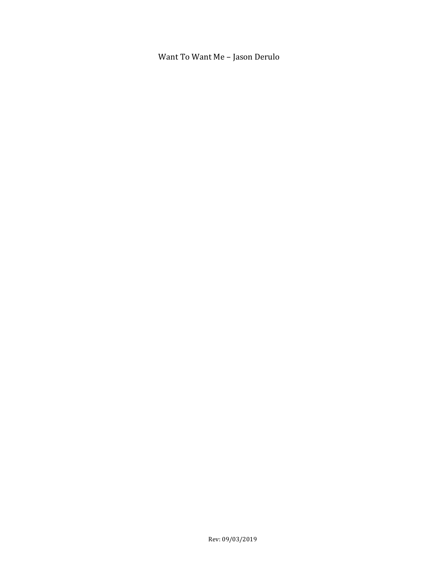Want To Want Me – Jason Derulo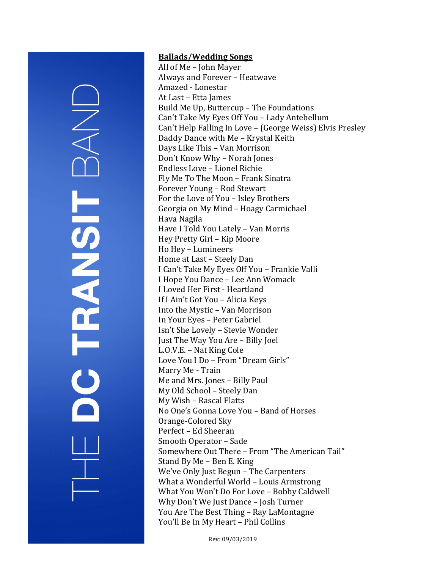# **HANSIT**

### Ballads/Wedding Songs

All of Me – John Mayer Always and Forever – Heatwave Amazed - Lonestar At Last – Etta James Build Me Up, Buttercup – The Foundations Can't Take My Eyes Off You – Lady Antebellum Can't Help Falling In Love – (George Weiss) Elvis Presley Daddy Dance with Me – Krystal Keith Days Like This – Van Morrison Don't Know Why – Norah Jones Endless Love – Lionel Richie Fly Me To The Moon – Frank Sinatra Forever Young – Rod Stewart For the Love of You – Isley Brothers Georgia on My Mind – Hoagy Carmichael Hava Nagila Have I Told You Lately – Van Morris Hey Pretty Girl – Kip Moore Ho Hey – Lumineers Home at Last – Steely Dan I Can't Take My Eyes Off You – Frankie Valli I Hope You Dance – Lee Ann Womack I Loved Her First - Heartland If I Ain't Got You – Alicia Keys Into the Mystic – Van Morrison In Your Eyes – Peter Gabriel Isn't She Lovely – Stevie Wonder Just The Way You Are – Billy Joel L.O.V.E. – Nat King Cole Love You I Do – From "Dream Girls" Marry Me - Train Me and Mrs. Jones – Billy Paul My Old School – Steely Dan My Wish – Rascal Flatts No One's Gonna Love You – Band of Horses Orange-Colored Sky Perfect – Ed Sheeran Smooth Operator – Sade Somewhere Out There – From "The American Tail" Stand By Me – Ben E. King We've Only Just Begun - The Carpenters What a Wonderful World – Louis Armstrong What You Won't Do For Love – Bobby Caldwell Why Don't We Just Dance – Josh Turner You Are The Best Thing – Ray LaMontagne You'll Be In My Heart – Phil Collins

Rev: 09/03/2019